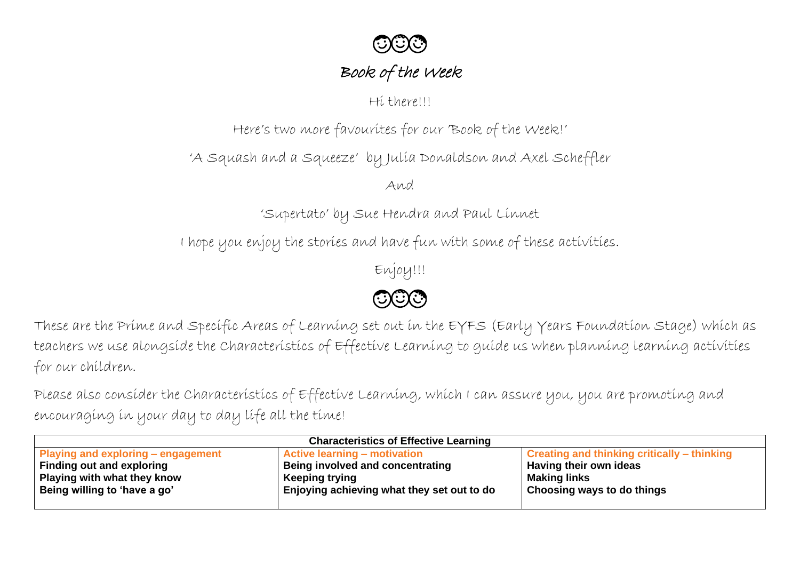

## Book of the Week

Hi there!!!

Here's two more favourites for our 'Book of the Week!'

'A Squash and a Squeeze' by Julia Donaldson and Axel Scheffler

And

'Supertato' by Sue Hendra and Paul Linnet

I hope you enjoy the stories and have fun with some of these activities.

Enjoy!!!

 $\odot$  $\odot$ 

These are the Prime and Specific Areas of Learning set out in the EYFS (Early Years Foundation Stage) which as teachers we use alongside the Characteristics of Effective Learning to guide us when planning learning activities for our children.

Please also consider the Characteristics of Effective Learning, which I can assure you, you are promoting and encouraging in your day to day life all the time!

| <b>Characteristics of Effective Learning</b> |                                            |                                                    |  |  |
|----------------------------------------------|--------------------------------------------|----------------------------------------------------|--|--|
| <b>Playing and exploring – engagement</b>    | <b>Active learning – motivation</b>        | <b>Creating and thinking critically – thinking</b> |  |  |
| <b>Finding out and exploring</b>             | Being involved and concentrating           | Having their own ideas                             |  |  |
| Playing with what they know                  | Keeping trying                             | <b>Making links</b>                                |  |  |
| Being willing to 'have a go'                 | Enjoying achieving what they set out to do | <sup>1</sup> Choosing ways to do things            |  |  |
|                                              |                                            |                                                    |  |  |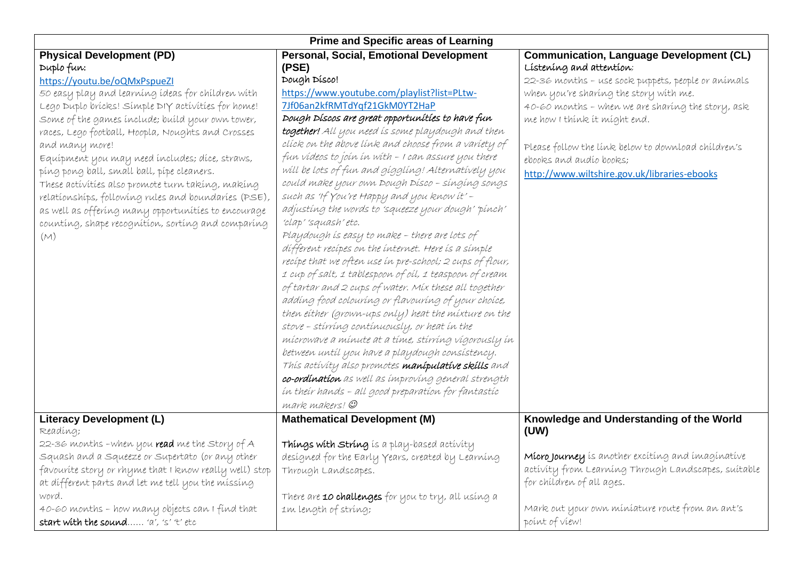| <b>Prime and Specific areas of Learning</b>                                                                                                                                                                                                                                                                                                                                                                                                                                                                                                                                                                                                           |                                                                                                                                                                                                                                                                                                                                                                                                                                                                                                                                                                                                                                                                                                                                                                                                                                                                                                                                                                              |                                                                                                                                                                                                                                                                                                                                                                                                    |  |  |
|-------------------------------------------------------------------------------------------------------------------------------------------------------------------------------------------------------------------------------------------------------------------------------------------------------------------------------------------------------------------------------------------------------------------------------------------------------------------------------------------------------------------------------------------------------------------------------------------------------------------------------------------------------|------------------------------------------------------------------------------------------------------------------------------------------------------------------------------------------------------------------------------------------------------------------------------------------------------------------------------------------------------------------------------------------------------------------------------------------------------------------------------------------------------------------------------------------------------------------------------------------------------------------------------------------------------------------------------------------------------------------------------------------------------------------------------------------------------------------------------------------------------------------------------------------------------------------------------------------------------------------------------|----------------------------------------------------------------------------------------------------------------------------------------------------------------------------------------------------------------------------------------------------------------------------------------------------------------------------------------------------------------------------------------------------|--|--|
| <b>Physical Development (PD)</b><br>Duplo fun:<br>https://youtu.be/oQMxPspueZI<br>50 easy play and learning ideas for children with<br>Lego Duplo bricks! Simple DIY activities for home!<br>Some of the games include; build your own tower,<br>races, Lego football, Hoopla, Noughts and Crosses<br>and many more!<br>Equipment you may need includes; dice, straws,<br>ping pong ball, small ball, pipe cleaners.<br>These activities also promote turn taking, making<br>relationships, following rules and boundaries (PSE),<br>as well as offering many opportunities to encourage<br>counting, shape recognition, sorting and comparing<br>(M) | <b>Personal, Social, Emotional Development</b><br>(PSE)<br>Dough Disco!<br>https://www.youtube.com/playlist?list=PLtw-<br>7Jf06an2kfRMTdYqf21GkM0YT2HaP<br>Dough Díscos are great opportunítíes to have fun<br><b>together!</b> All you need is some playdough and then<br>clíck on the above línk and choose from a varíety of<br>fun vídeos to joín ín with - I can assure you there<br>will be lots of fun and giggling! Alternatively you<br>could make your own Dough Dísco - sínging songs<br>such as 'If You're Happy and you know it' -<br>adjusting the words to 'squeeze your dough' pinch'<br>'clap' 'squash' etc.<br>Playdough is easy to make - there are lots of<br>different recipes on the internet. Here is a simple<br>recipe that we often use in pre-school; 2 cups of flour,<br>1 cup of salt, 1 tablespoon of oil, 1 teaspoon of cream<br>of tartar and 2 cups of water. Mix these all together<br>adding food colouring or flavouring of your choice, | <b>Communication, Language Development (CL)</b><br>Listening and attention;<br>22-36 months - use sock puppets, people or animals<br>when you're sharing the story with me.<br>40-60 months - when we are sharing the story, ask<br>me how I think it might end.<br>Please follow the link below to download children's<br>ebooks and audio books;<br>http://www.wiltshire.gov.uk/libraries-ebooks |  |  |
|                                                                                                                                                                                                                                                                                                                                                                                                                                                                                                                                                                                                                                                       | then either (grown-ups only) heat the mixture on the<br>stove - stírríng contínuously, or heat ín the<br>mícrowave a mínute at a tíme, stírríng vígorously ín<br>between until you have a playdough consistency.<br>This activity also promotes manipulative skills and<br>co-ordination as well as improving general strength<br>in their hands - all good preparation for fantastic<br>mark makers! @                                                                                                                                                                                                                                                                                                                                                                                                                                                                                                                                                                      |                                                                                                                                                                                                                                                                                                                                                                                                    |  |  |
| <b>Literacy Development (L)</b>                                                                                                                                                                                                                                                                                                                                                                                                                                                                                                                                                                                                                       | <b>Mathematical Development (M)</b>                                                                                                                                                                                                                                                                                                                                                                                                                                                                                                                                                                                                                                                                                                                                                                                                                                                                                                                                          | Knowledge and Understanding of the World                                                                                                                                                                                                                                                                                                                                                           |  |  |
| Reading;                                                                                                                                                                                                                                                                                                                                                                                                                                                                                                                                                                                                                                              |                                                                                                                                                                                                                                                                                                                                                                                                                                                                                                                                                                                                                                                                                                                                                                                                                                                                                                                                                                              | (UW)                                                                                                                                                                                                                                                                                                                                                                                               |  |  |
| 22-36 months -when you read me the Story of A<br>Squash and a Squeeze or Supertato (or any other<br>favourite story or rhyme that I know really well) stop<br>at different parts and let me tell you the missing                                                                                                                                                                                                                                                                                                                                                                                                                                      | Things with string is a play-based activity<br>designed for the Early Years, created by Learning<br>Through Landscapes.                                                                                                                                                                                                                                                                                                                                                                                                                                                                                                                                                                                                                                                                                                                                                                                                                                                      | Micro Journey is another exciting and imaginative<br>activity from Learning Through Landscapes, suitable<br>for children of all ages.                                                                                                                                                                                                                                                              |  |  |
| word.<br>40-60 months - how many objects can I find that<br>start with the sound 'a', 's' 't' etc                                                                                                                                                                                                                                                                                                                                                                                                                                                                                                                                                     | There are 10 challenges for you to try, all using a<br>Im length of string;                                                                                                                                                                                                                                                                                                                                                                                                                                                                                                                                                                                                                                                                                                                                                                                                                                                                                                  | Mark out your own miniature route from an ant's<br>point of view!                                                                                                                                                                                                                                                                                                                                  |  |  |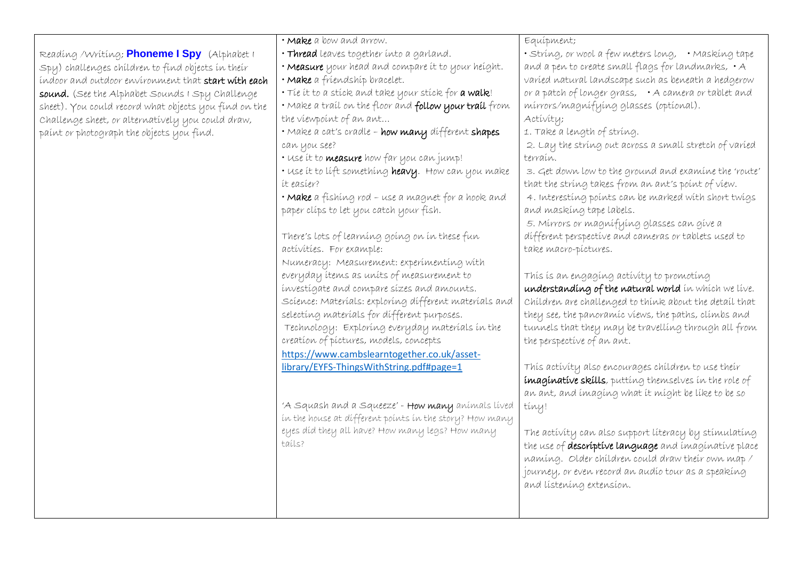|                                                       | • Make a bow and arrow.                                 | Equípment;                                             |
|-------------------------------------------------------|---------------------------------------------------------|--------------------------------------------------------|
| Reading / Writing; Phoneme I Spy (Alphabet I          | · Thread leaves together into a garland.                | · String, or wool a few meters long, · Masking tape    |
| Spy) challenges children to find objects in their     | • Measure your head and compare it to your height.      | and a pen to create small flags for landmarks, . A     |
| indoor and outdoor environment that start with each   | · Make a fríendshíp bracelet.                           | varied natural landscape such as beneath a hedgerow    |
| sound. (See the Alphabet Sounds I Spy Challenge       | . The it to a stick and take your stick for a walk!     | or a patch of longer grass, A camera or tablet and     |
| sheet). You could record what objects you find on the | · Make a trail on the floor and follow your trail from  | mirrors/magnifying glasses (optional).                 |
| Challenge sheet, or alternatively you could draw,     | the viewpoint of an ant                                 | Activity;                                              |
| paínt or photograph the objects you find.             | · Make a cat's cradle - how many different shapes       | 1. Take a length of string.                            |
|                                                       | can you see?                                            | 2. Lay the string out across a small stretch of varied |
|                                                       | · Use it to <b>measure</b> how far you can jump!        | terraín.                                               |
|                                                       | · Use it to lift something heavy. How can you make      | 3. Get down low to the ground and examine the 'route'  |
|                                                       | it easier?                                              | that the string takes from an ant's point of view.     |
|                                                       | · Make a fishing rod - use a magnet for a hook and      | 4. Interesting points can be marked with short twigs   |
|                                                       | paper clips to let you catch your fish.                 | and masking tape labels.                               |
|                                                       |                                                         | 5. Mírrors or magnífying glasses can give a            |
|                                                       | There's lots of learning going on in these fun          | different perspective and cameras or tablets used to   |
|                                                       | activities. For example:                                | take macro-píctures.                                   |
|                                                       | Numeracy: Measurement: experimenting with               |                                                        |
|                                                       | everyday ítems as units of measurement to               | This is an engaging activity to promoting              |
|                                                       | investigate and compare sizes and amounts.              | understanding of the natural world in which we live.   |
|                                                       | Science: Materials: exploring different materials and   | Children are challenged to think about the detail that |
|                                                       | selecting materials for different purposes.             | they see, the panoramic views, the paths, climbs and   |
|                                                       | Technology: Exploring everyday materials in the         | tunnels that they may be travelling through all from   |
|                                                       | creation of pictures, models, concepts                  | the perspective of an ant.                             |
|                                                       | https://www.cambslearntogether.co.uk/asset-             |                                                        |
|                                                       | library/EYFS-ThingsWithString.pdf#page=1                | This activity also encourages children to use their    |
|                                                       |                                                         | imaginative skills, putting themselves in the role of  |
|                                                       |                                                         | an ant, and imaging what it might be like to be so     |
|                                                       | 'A Squash and a Squeeze' - How many animals lived       | tiny!                                                  |
|                                                       | in the house at different points in the story? How many |                                                        |
|                                                       | eyes díd they all have? How many legs? How many         | The activity can also support literacy by stimulating  |
|                                                       | tails?                                                  | the use of descriptive language and imaginative place  |
|                                                       |                                                         | naming. Older children could draw their own map /      |
|                                                       |                                                         | journey, or even record an audío tour as a speaking    |
|                                                       |                                                         | and listening extension.                               |
|                                                       |                                                         |                                                        |
|                                                       |                                                         |                                                        |